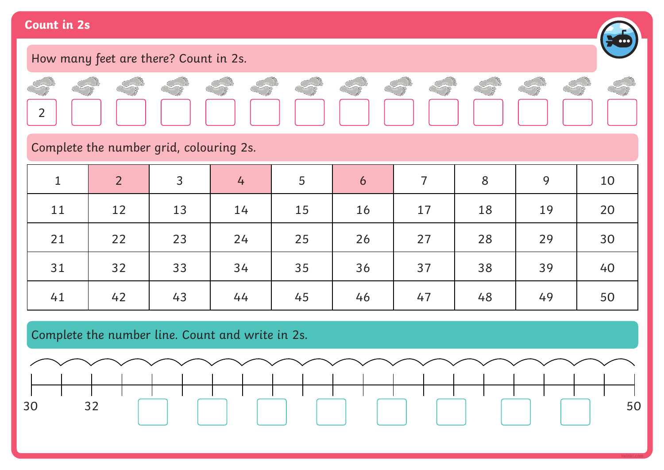#### **Count in 2s**

2

#### How many feet are there? Count in 2s. Constant Se Con S  $\frac{1}{8}$ S

Complete the number grid, colouring 2s.

| $\mathbf{1}$ | $\overline{2}$ | 3  | $\overline{4}$ | 5  | 6  | $\overline{7}$ | 8  | 9  | 10 |
|--------------|----------------|----|----------------|----|----|----------------|----|----|----|
| 11           | 12             | 13 | 14             | 15 | 16 | 17             | 18 | 19 | 20 |
| 21           | 22             | 23 | 24             | 25 | 26 | 27             | 28 | 29 | 30 |
| 31           | 32             | 33 | 34             | 35 | 36 | 37             | 38 | 39 | 40 |
| 41           | 42             | 43 | 44             | 45 | 46 | 47             | 48 | 49 | 50 |

Complete the number line. Count and write in 2s.



**Company** 

 $\sim$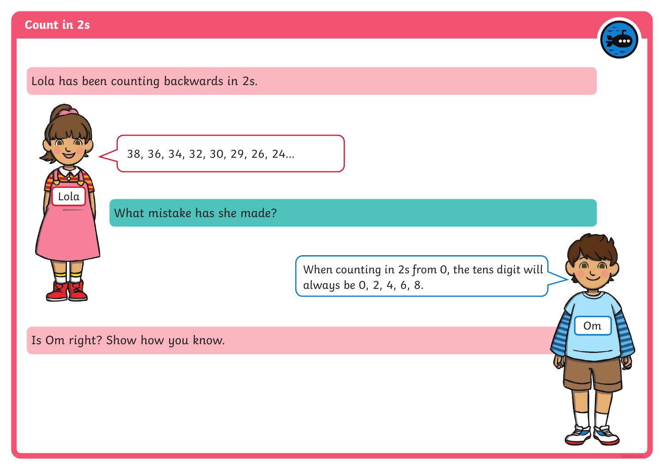#### **Count in 2s**



# Lola has been counting backwards in 2s.

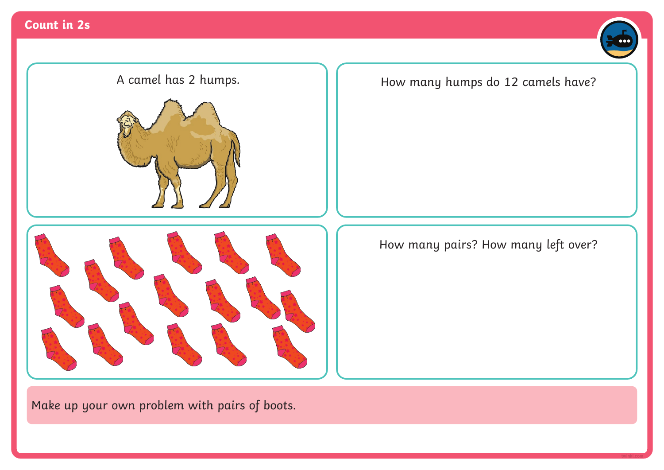





A camel has 2 humps.  $\|$  <br>How many humps do 12 camels have?

How many pairs? How many left over?

Make up your own problem with pairs of boots.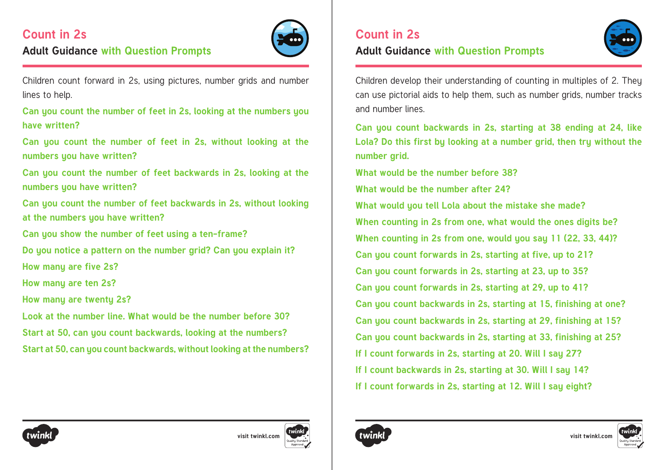# **Count in 2s Adult Guidance with Question Prompts**



Children count forward in 2s, using pictures, number grids and number lines to help.

**Can you count the number of feet in 2s, looking at the numbers you have written?**

**Can you count the number of feet in 2s, without looking at the numbers you have written?**

**Can you count the number of feet backwards in 2s, looking at the numbers you have written?**

**Can you count the number of feet backwards in 2s, without looking at the numbers you have written?**

**Can you show the number of feet using a ten-frame?**

**Do you notice a pattern on the number grid? Can you explain it?**

**How many are five 2s?**

**How many are ten 2s?**

**How many are twenty 2s?**

**Look at the number line. What would be the number before 30? Start at 50, can you count backwards, looking at the numbers? Start at 50, can you count backwards, without looking at the numbers?**

#### **Adult Guidance with Question Prompts**



Children develop their understanding of counting in multiples of 2. They can use pictorial aids to help them, such as number grids, number tracks and number lines.

**Can you count backwards in 2s, starting at 38 ending at 24, like Lola? Do this first by looking at a number grid, then try without the number grid.**

**What would be the number before 38?**

**What would be the number after 24?**

**What would you tell Lola about the mistake she made?**

**When counting in 2s from one, what would the ones digits be?** 

**When counting in 2s from one, would you say 11 (22, 33, 44)?** 

**Can you count forwards in 2s, starting at five, up to 21?**

**Can you count forwards in 2s, starting at 23, up to 35?**

**Can you count forwards in 2s, starting at 29, up to 41?**

**Can you count backwards in 2s, starting at 15, finishing at one?**

**Can you count backwards in 2s, starting at 29, finishing at 15?**

**Can you count backwards in 2s, starting at 33, finishing at 25?**

- **If I count forwards in 2s, starting at 20. Will I say 27?**
- **If I count backwards in 2s, starting at 30. Will I say 14?**
- **If I count forwards in 2s, starting at 12. Will I say eight?**